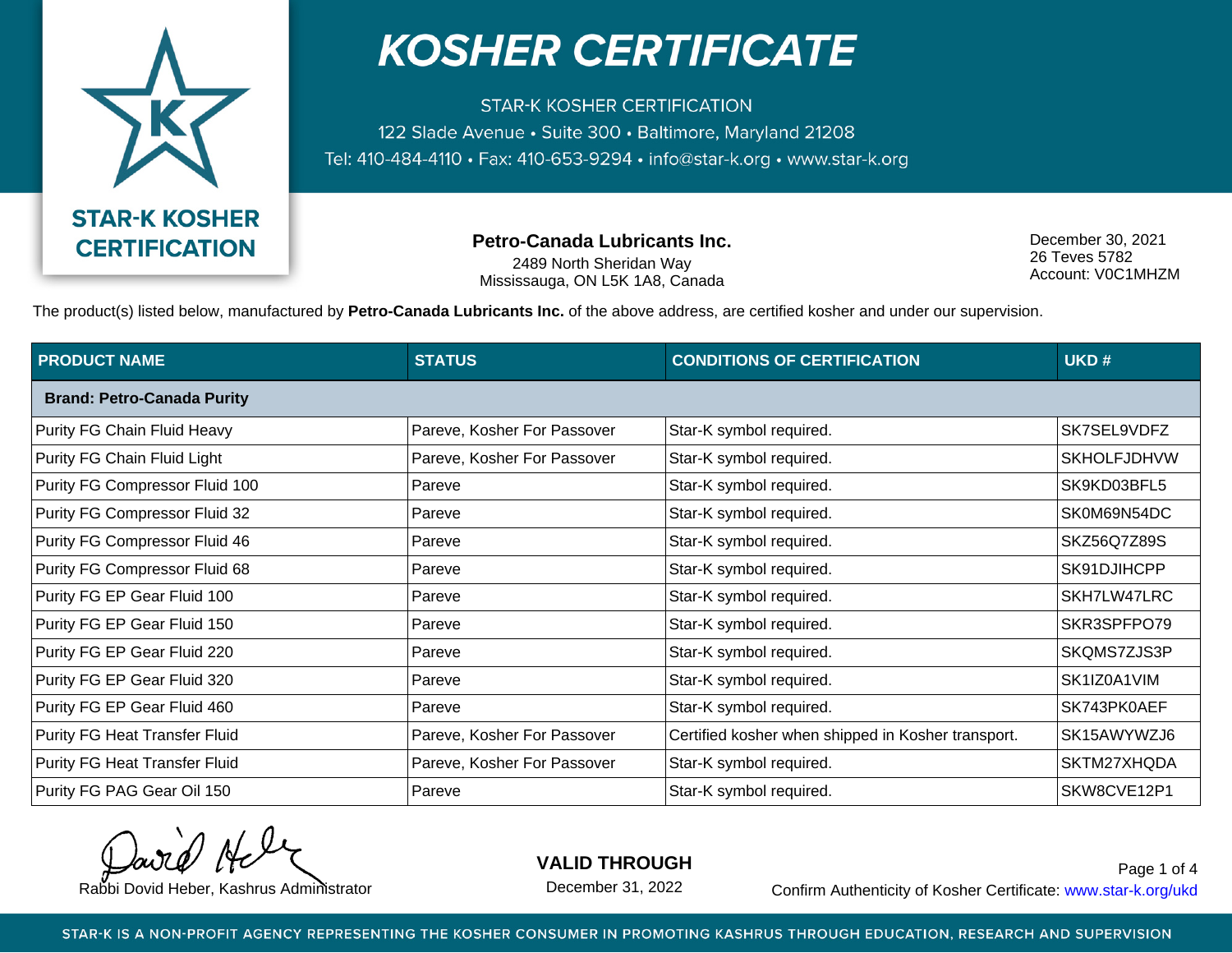

**STAR-K KOSHER CERTIFICATION** 122 Slade Avenue · Suite 300 · Baltimore, Maryland 21208 Tel: 410-484-4110 · Fax: 410-653-9294 · info@star-k.org · www.star-k.org

**Petro-Canada Lubricants Inc.**

2489 North Sheridan Way Mississauga, ON L5K 1A8, Canada

December 30, 2021 26 Teves 5782 Account: V0C1MHZM

The product(s) listed below, manufactured by **Petro-Canada Lubricants Inc.** of the above address, are certified kosher and under our supervision.

| <b>PRODUCT NAME</b>               | <b>STATUS</b>               | <b>CONDITIONS OF CERTIFICATION</b>                 | UKD#               |
|-----------------------------------|-----------------------------|----------------------------------------------------|--------------------|
| <b>Brand: Petro-Canada Purity</b> |                             |                                                    |                    |
| Purity FG Chain Fluid Heavy       | Pareve, Kosher For Passover | Star-K symbol required.                            | SK7SEL9VDFZ        |
| Purity FG Chain Fluid Light       | Pareve, Kosher For Passover | Star-K symbol required.                            | <b>SKHOLFJDHVW</b> |
| Purity FG Compressor Fluid 100    | Pareve                      | Star-K symbol required.                            | SK9KD03BFL5        |
| Purity FG Compressor Fluid 32     | Pareve                      | Star-K symbol required.                            | SK0M69N54DC        |
| Purity FG Compressor Fluid 46     | Pareve                      | Star-K symbol required.                            | SKZ56Q7Z89S        |
| Purity FG Compressor Fluid 68     | Pareve                      | Star-K symbol required.                            | SK91DJIHCPP        |
| Purity FG EP Gear Fluid 100       | Pareve                      | Star-K symbol required.                            | SKH7LW47LRC        |
| Purity FG EP Gear Fluid 150       | Pareve                      | Star-K symbol required.                            | SKR3SPFPO79        |
| Purity FG EP Gear Fluid 220       | Pareve                      | Star-K symbol required.                            | SKQMS7ZJS3P        |
| Purity FG EP Gear Fluid 320       | Pareve                      | Star-K symbol required.                            | SK1IZ0A1VIM        |
| Purity FG EP Gear Fluid 460       | Pareve                      | Star-K symbol required.                            | SK743PK0AEF        |
| Purity FG Heat Transfer Fluid     | Pareve, Kosher For Passover | Certified kosher when shipped in Kosher transport. | SK15AWYWZJ6        |
| Purity FG Heat Transfer Fluid     | Pareve, Kosher For Passover | Star-K symbol required.                            | SKTM27XHQDA        |
| Purity FG PAG Gear Oil 150        | Pareve                      | Star-K symbol required.                            | SKW8CVE12P1        |

**VALID THROUGH**

December 31, 2022

Rabbi Dovid Heber, Kashrus Administrator **Confirm Authenticity of Kosher Certificate:** www.star-k.org/ukd Page 1 of 4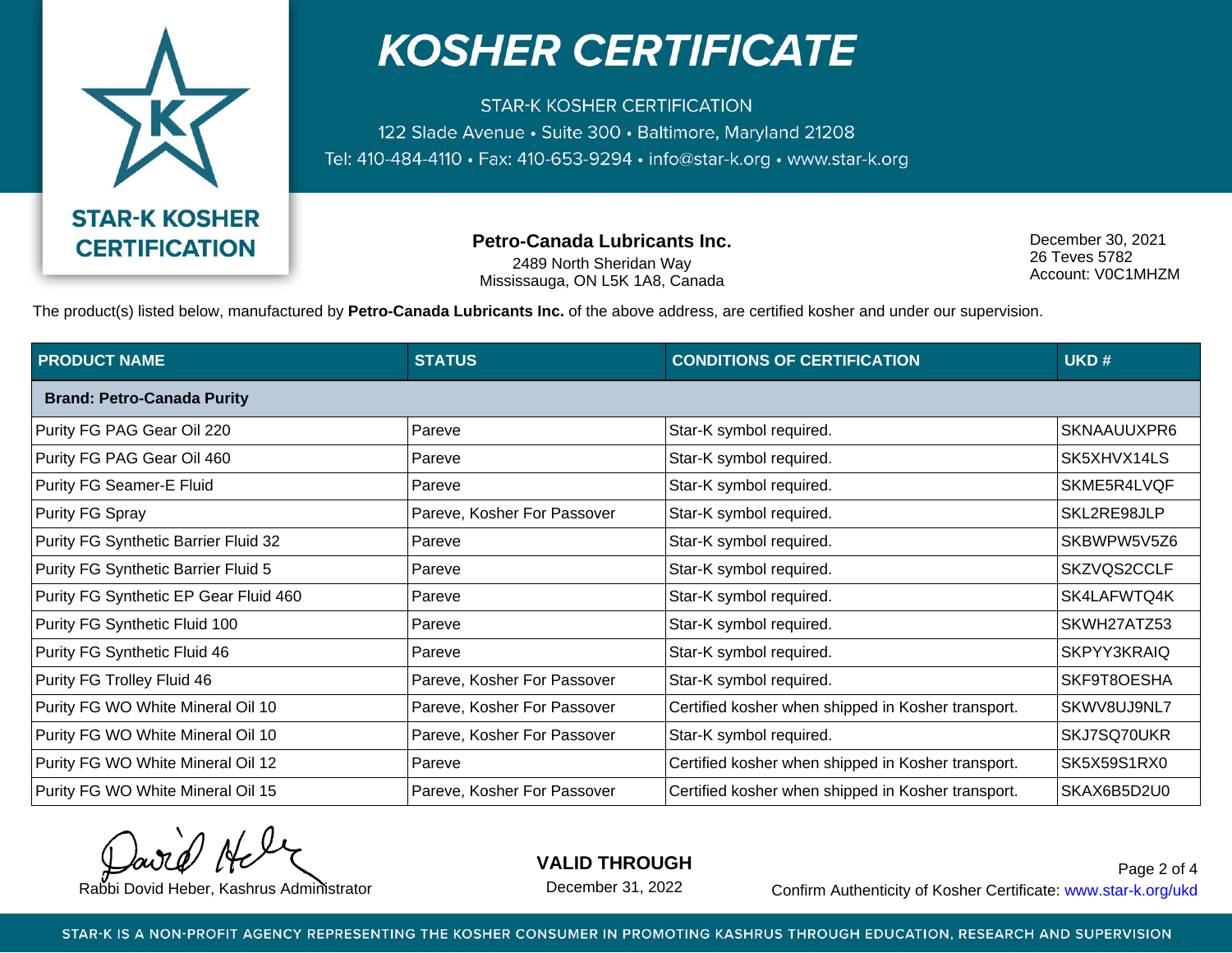

**STAR-K KOSHER CERTIFICATION** 122 Slade Avenue · Suite 300 · Baltimore, Maryland 21208 Tel: 410-484-4110 · Fax: 410-653-9294 · info@star-k.org · www.star-k.org

**Petro-Canada Lubricants Inc.**

2489 North Sheridan Way Mississauga, ON L5K 1A8, Canada

December 30, 2021 26 Teves 5782 Account: V0C1MHZM

The product(s) listed below, manufactured by **Petro-Canada Lubricants Inc.** of the above address, are certified kosher and under our supervision.

| <b>PRODUCT NAME</b>                   | <b>STATUS</b>               | <b>CONDITIONS OF CERTIFICATION</b>                 | UKD#        |  |  |
|---------------------------------------|-----------------------------|----------------------------------------------------|-------------|--|--|
| <b>Brand: Petro-Canada Purity</b>     |                             |                                                    |             |  |  |
| Purity FG PAG Gear Oil 220            | Pareve                      | Star-K symbol required.                            | SKNAAUUXPR6 |  |  |
| Purity FG PAG Gear Oil 460            | Pareve                      | Star-K symbol required.                            | SK5XHVX14LS |  |  |
| Purity FG Seamer-E Fluid              | Pareve                      | Star-K symbol required.                            | SKME5R4LVQF |  |  |
| Purity FG Spray                       | Pareve, Kosher For Passover | Star-K symbol required.                            | SKL2RE98JLP |  |  |
| Purity FG Synthetic Barrier Fluid 32  | Pareve                      | Star-K symbol required.                            | SKBWPW5V5Z6 |  |  |
| Purity FG Synthetic Barrier Fluid 5   | Pareve                      | Star-K symbol required.                            | SKZVQS2CCLF |  |  |
| Purity FG Synthetic EP Gear Fluid 460 | Pareve                      | Star-K symbol required.                            | SK4LAFWTQ4K |  |  |
| Purity FG Synthetic Fluid 100         | Pareve                      | Star-K symbol required.                            | SKWH27ATZ53 |  |  |
| Purity FG Synthetic Fluid 46          | Pareve                      | Star-K symbol required.                            | SKPYY3KRAIQ |  |  |
| Purity FG Trolley Fluid 46            | Pareve, Kosher For Passover | Star-K symbol required.                            | SKF9T8OESHA |  |  |
| Purity FG WO White Mineral Oil 10     | Pareve, Kosher For Passover | Certified kosher when shipped in Kosher transport. | SKWV8UJ9NL7 |  |  |
| Purity FG WO White Mineral Oil 10     | Pareve, Kosher For Passover | Star-K symbol required.                            | SKJ7SQ70UKR |  |  |
| Purity FG WO White Mineral Oil 12     | Pareve                      | Certified kosher when shipped in Kosher transport. | SK5X59S1RX0 |  |  |
| Purity FG WO White Mineral Oil 15     | Pareve, Kosher For Passover | Certified kosher when shipped in Kosher transport. | SKAX6B5D2U0 |  |  |

**VALID THROUGH**

December 31, 2022

Rabbi Dovid Heber, Kashrus Administrator **Confirm Authenticity of Kosher Certificate:** www.star-k.org/ukd Page 2 of 4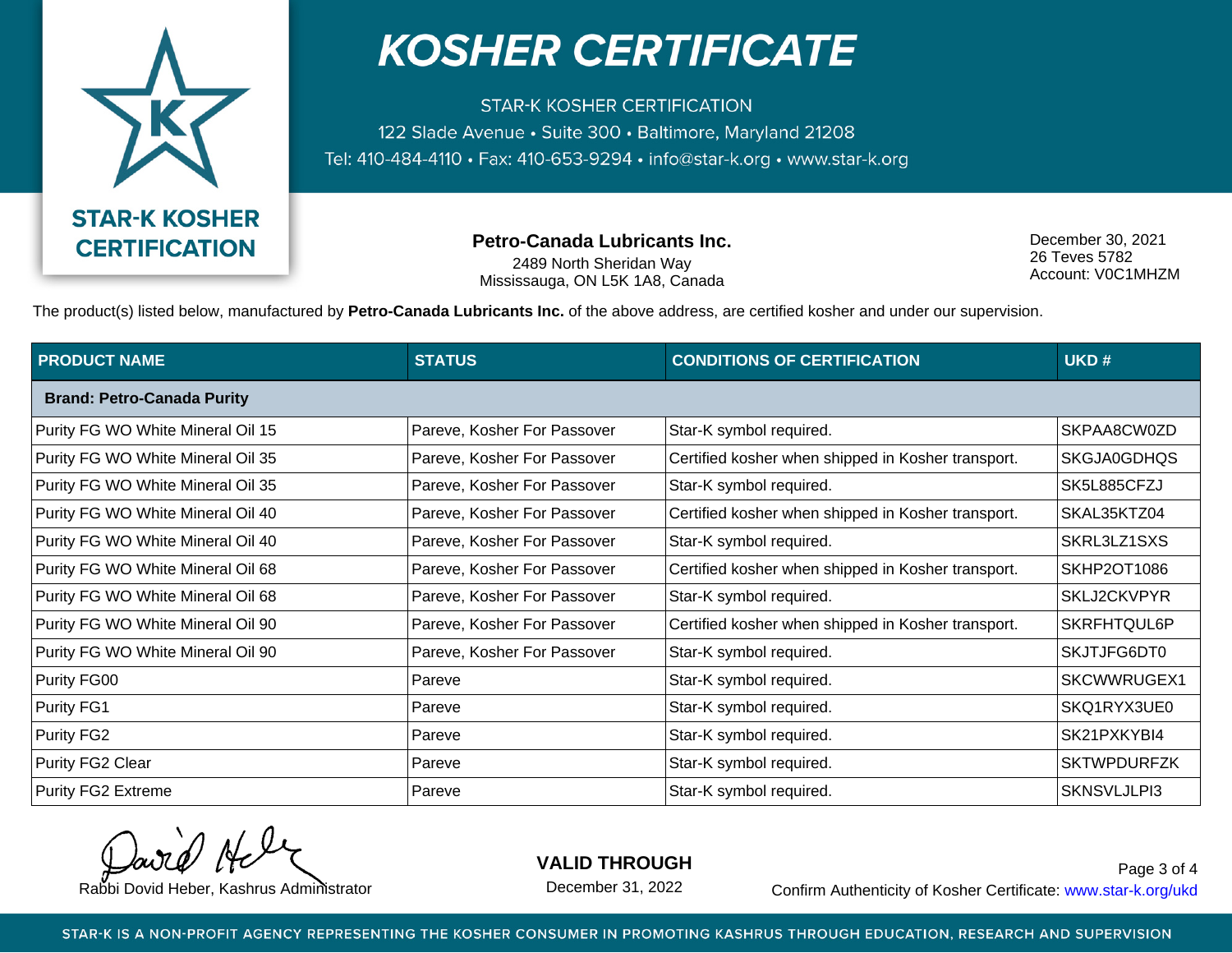

**STAR-K KOSHER CERTIFICATION** 122 Slade Avenue · Suite 300 · Baltimore, Maryland 21208 Tel: 410-484-4110 · Fax: 410-653-9294 · info@star-k.org · www.star-k.org

**Petro-Canada Lubricants Inc.**

2489 North Sheridan Way Mississauga, ON L5K 1A8, Canada

December 30, 2021 26 Teves 5782 Account: V0C1MHZM

The product(s) listed below, manufactured by **Petro-Canada Lubricants Inc.** of the above address, are certified kosher and under our supervision.

| <b>PRODUCT NAME</b>               | <b>STATUS</b>               | <b>CONDITIONS OF CERTIFICATION</b>                 | UKD#               |  |  |
|-----------------------------------|-----------------------------|----------------------------------------------------|--------------------|--|--|
| <b>Brand: Petro-Canada Purity</b> |                             |                                                    |                    |  |  |
| Purity FG WO White Mineral Oil 15 | Pareve, Kosher For Passover | Star-K symbol required.                            | SKPAA8CW0ZD        |  |  |
| Purity FG WO White Mineral Oil 35 | Pareve, Kosher For Passover | Certified kosher when shipped in Kosher transport. | SKGJA0GDHQS        |  |  |
| Purity FG WO White Mineral Oil 35 | Pareve, Kosher For Passover | Star-K symbol required.                            | SK5L885CFZJ        |  |  |
| Purity FG WO White Mineral Oil 40 | Pareve, Kosher For Passover | Certified kosher when shipped in Kosher transport. | SKAL35KTZ04        |  |  |
| Purity FG WO White Mineral Oil 40 | Pareve, Kosher For Passover | Star-K symbol required.                            | SKRL3LZ1SXS        |  |  |
| Purity FG WO White Mineral Oil 68 | Pareve, Kosher For Passover | Certified kosher when shipped in Kosher transport. | <b>SKHP2OT1086</b> |  |  |
| Purity FG WO White Mineral Oil 68 | Pareve, Kosher For Passover | Star-K symbol required.                            | SKLJ2CKVPYR        |  |  |
| Purity FG WO White Mineral Oil 90 | Pareve, Kosher For Passover | Certified kosher when shipped in Kosher transport. | SKRFHTQUL6P        |  |  |
| Purity FG WO White Mineral Oil 90 | Pareve, Kosher For Passover | Star-K symbol required.                            | SKJTJFG6DT0        |  |  |
| Purity FG00                       | Pareve                      | Star-K symbol required.                            | SKCWWRUGEX1        |  |  |
| Purity FG1                        | Pareve                      | Star-K symbol required.                            | SKQ1RYX3UE0        |  |  |
| Purity FG2                        | Pareve                      | Star-K symbol required.                            | SK21PXKYBI4        |  |  |
| Purity FG2 Clear                  | Pareve                      | Star-K symbol required.                            | <b>SKTWPDURFZK</b> |  |  |
| <b>Purity FG2 Extreme</b>         | Pareve                      | Star-K symbol required.                            | SKNSVLJLPI3        |  |  |

**VALID THROUGH**

December 31, 2022

Rabbi Dovid Heber, Kashrus Administrator **Confirm Authenticity of Kosher Certificate:** www.star-k.org/ukd Page 3 of 4